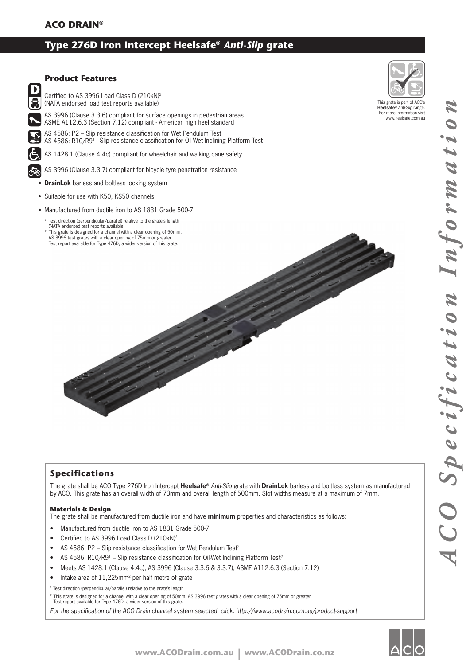# **Type 276D Iron Intercept Heelsafe®** *Anti-Slip* **grate**



### **Specifications**

The grate shall be ACO Type 276D Iron Intercept **Heelsafe®** *Anti-Slip* grate with **DrainLok** barless and boltless system as manufactured by ACO. This grate has an overall width of 73mm and overall length of 500mm. Slot widths measure at a maximum of 7mm.

### **Materials & Design**

The grate shall be manufactured from ductile iron and have **minimum** properties and characteristics as follows:

- Manufactured from ductile iron to AS 1831 Grade 500-7
- Certified to AS 3996 Load Class D (210kN)2
- AS 4586: P2 Slip resistance classification for Wet Pendulum Test<sup>2</sup>
- AS 4586: R10/R9<sup>1</sup> Slip resistance classification for Oil-Wet Inclining Platform Test<sup>2</sup>
- Meets AS 1428.1 (Clause 4.4c); AS 3996 (Clause 3.3.6 & 3.3.7); ASME A112.6.3 (Section 7.12)
- Intake area of 11,225mm<sup>2</sup> per half metre of grate

<sup>1</sup> Test direction (perpendicular/parallel) relative to the grate's length

2 This grate is designed for a channel with a clear opening of 50mm. AS 3996 test grates with a clear opening of 75mm or greater. Test report available for Type 476D, a wider version of this grate.

For the specification of the ACO Drain channel system selected, click: http://www.acodrain.com.au/product-support



This grate is part of ACO's **Heelsafe®** *Anti-Slip* range. For more information visit www.heelsafe.com.au